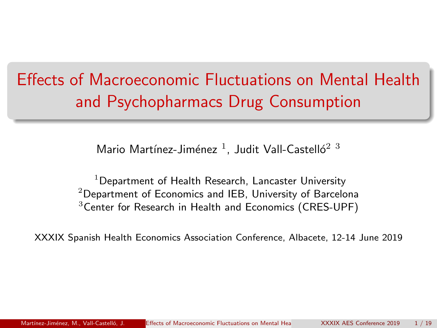# <span id="page-0-0"></span>Effects of Macroeconomic Fluctuations on Mental Health and Psychopharmacs Drug Consumption

Mario Martínez-Jiménez  $^1$ , Judit Vall-Castelló $^2$   $^3$ 

 $1$ Department of Health Research, Lancaster University  $2$ Department of Economics and IEB, University of Barcelona  $3$ Center for Research in Health and Economics (CRES-UPF)

XXXIX Spanish Health Economics Association Conference, Albacete, 12-14 June 2019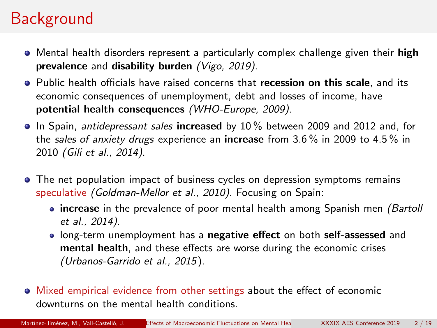# **Background**

- Mental health disorders represent a particularly complex challenge given their high prevalence and disability burden (Vigo, 2019).
- Public health officials have raised concerns that recession on this scale, and its economic consequences of unemployment, debt and losses of income, have potential health consequences (WHO-Europe, 2009).
- In Spain, antidepressant sales increased by 10% between 2009 and 2012 and, for the sales of anxiety drugs experience an **increase** from 3.6% in 2009 to 4.5% in 2010 (Gili et al., 2014).
- The net population impact of business cycles on depression symptoms remains speculative (Goldman-Mellor et al., 2010). Focusing on Spain:
	- increase in the prevalence of poor mental health among Spanish men (Bartoll et al., 2014).
	- long-term unemployment has a negative effect on both self-assessed and mental health, and these effects are worse during the economic crises (Urbanos-Garrido et al., 2015).
- Mixed empirical evidence from other settings about the effect of economic downturns on the mental health conditions.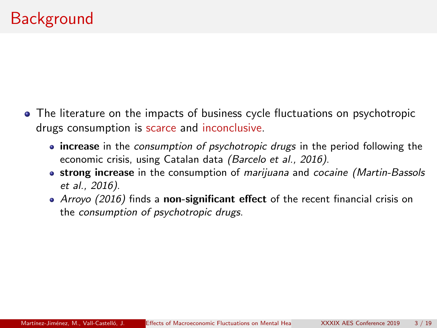- The literature on the impacts of business cycle fluctuations on psychotropic drugs consumption is scarce and inconclusive.
	- increase in the consumption of psychotropic drugs in the period following the economic crisis, using Catalan data (Barcelo et al., 2016).
	- **strong increase** in the consumption of marijuana and cocaine (Martin-Bassols et al., 2016).
	- $\bullet$  Arroyo (2016) finds a non-significant effect of the recent financial crisis on the consumption of psychotropic drugs.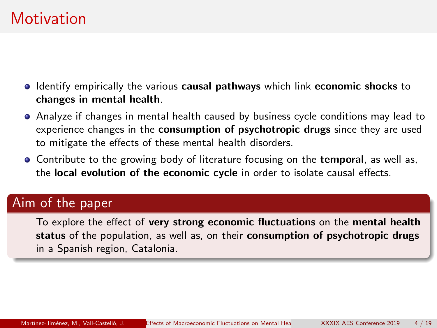### **Motivation**

- **I** Identify empirically the various causal pathways which link economic shocks to changes in mental health.
- Analyze if changes in mental health caused by business cycle conditions may lead to experience changes in the consumption of psychotropic drugs since they are used to mitigate the effects of these mental health disorders.
- **Contribute to the growing body of literature focusing on the temporal, as well as,** the local evolution of the economic cycle in order to isolate causal effects.

### Aim of the paper

To explore the effect of very strong economic fluctuations on the mental health status of the population, as well as, on their consumption of psychotropic drugs in a Spanish region, Catalonia.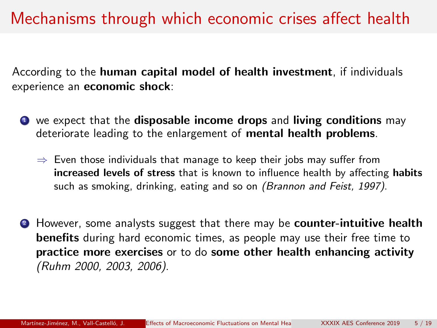### Mechanisms through which economic crises affect health

According to the human capital model of health investment, if individuals experience an economic shock:

- $\bullet$  we expect that the disposable income drops and living conditions may deteriorate leading to the enlargement of mental health problems.
	- $\Rightarrow$  Even those individuals that manage to keep their jobs may suffer from increased levels of stress that is known to influence health by affecting habits such as smoking, drinking, eating and so on (Brannon and Feist, 1997).
- **2** However, some analysts suggest that there may be **counter-intuitive health** benefits during hard economic times, as people may use their free time to practice more exercises or to do some other health enhancing activity (Ruhm 2000, 2003, 2006).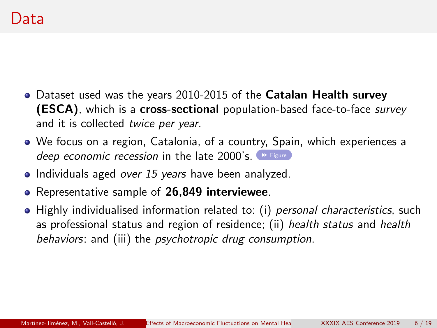- <span id="page-5-0"></span>• Dataset used was the years 2010-2015 of the **Catalan Health survey (ESCA)**, which is a **cross-sectional** population-based face-to-face *survey* and it is collected twice per year.
- We focus on a region, Catalonia, of a country, Spain, which experiences a deep economic recession in the late  $2000$ 's.  $\rightarrow$  [Figure](#page-18-1)
- $\bullet$  Individuals aged over 15 years have been analyzed.
- Representative sample of 26,849 interviewee.
- Highly individualised information related to: (i) personal characteristics, such as professional status and region of residence; (ii) health status and health behaviors: and (iii) the psychotropic drug consumption.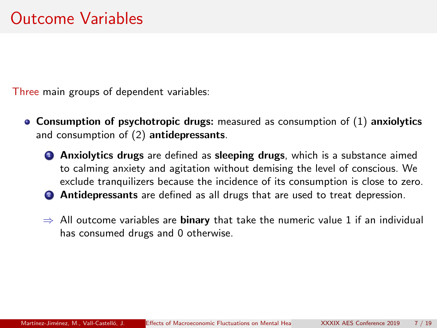Three main groups of dependent variables:

- $\bullet$  Consumption of psychotropic drugs: measured as consumption of (1) anxiolytics and consumption of (2) antidepressants.
	- **4** Anxiolytics drugs are defined as sleeping drugs, which is a substance aimed to calming anxiety and agitation without demising the level of conscious. We exclude tranquilizers because the incidence of its consumption is close to zero.
	- **2** Antidepressants are defined as all drugs that are used to treat depression.
	- $\Rightarrow$  All outcome variables are **binary** that take the numeric value 1 if an individual has consumed drugs and 0 otherwise.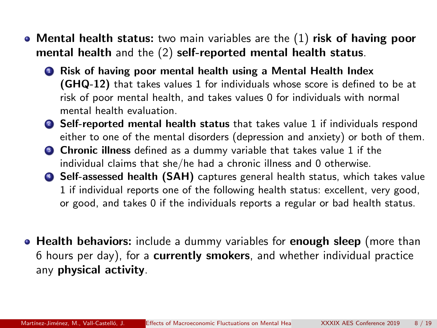- Mental health status: two main variables are the (1) risk of having poor mental health and the (2) self-reported mental health status.
	- **1** Risk of having poor mental health using a Mental Health Index (GHQ-12) that takes values 1 for individuals whose score is defined to be at risk of poor mental health, and takes values 0 for individuals with normal mental health evaluation.
	- <sup>2</sup> Self-reported mental health status that takes value 1 if individuals respond either to one of the mental disorders (depression and anxiety) or both of them.
	- **3** Chronic illness defined as a dummy variable that takes value 1 if the individual claims that she/he had a chronic illness and 0 otherwise.
	- **6 Self-assessed health (SAH)** captures general health status, which takes value 1 if individual reports one of the following health status: excellent, very good, or good, and takes 0 if the individuals reports a regular or bad health status.
- Health behaviors: include a dummy variables for enough sleep (more than 6 hours per day), for a currently smokers, and whether individual practice any physical activity.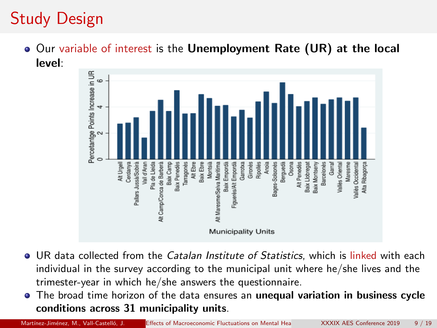# Study Design

**• Our variable of interest is the Unemployment Rate (UR) at the local** level:



- **UR data collected from the Catalan Institute of Statistics, which is linked with each** individual in the survey according to the municipal unit where he/she lives and the trimester-year in which he/she answers the questionnaire.
- The broad time horizon of the data ensures an unequal variation in business cycle  $\bullet$ conditions across 31 municipality units.

Martínez-Jiménez, M., Vall-Castelló, J. Effects of Macroeconomic Fluctuations on Mental Hea XXXIX AES Conference 2019 9 / 19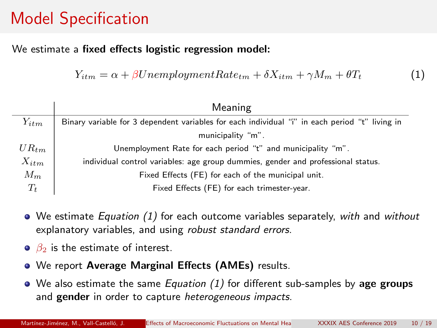# Model Specification

#### We estimate a fixed effects logistic regression model:

 $Y_{itm} = \alpha + \beta UnemployedmentRate_{tm} + \delta X_{itm} + \gamma M_m + \theta T_t$  (1)

|           | Meaning                                                                                        |
|-----------|------------------------------------------------------------------------------------------------|
| $Y_{itm}$ | Binary variable for 3 dependent variables for each individual "i" in each period "t" living in |
|           | municipality "m".                                                                              |
| $UR_{tm}$ | Unemployment Rate for each period "t" and municipality "m".                                    |
| $X_{itm}$ | individual control variables: age group dummies, gender and professional status.               |
| $M_m$     | Fixed Effects (FE) for each of the municipal unit.                                             |
| $T_t$     | Fixed Effects (FE) for each trimester-year.                                                    |

- $\bullet$  We estimate *Equation* (1) for each outcome variables separately, with and without explanatory variables, and using robust standard errors.
- $\theta_2$  is the estimate of interest.
- We report Average Marginal Effects (AMEs) results.
- $\bullet$  We also estimate the same *Equation (1)* for different sub-samples by age groups and gender in order to capture *heterogeneous impacts*.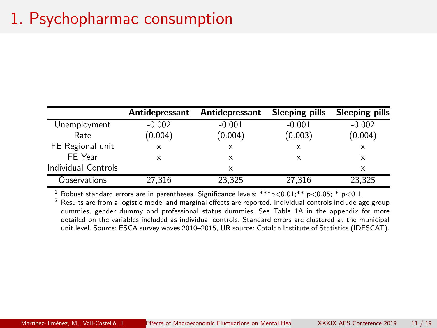# 1. Psychopharmac consumption

|                     | Antidepressant | Antidepressant | Sleeping pills | Sleeping pills |
|---------------------|----------------|----------------|----------------|----------------|
| Unemployment        | $-0.002$       | $-0.001$       | $-0.001$       | $-0.002$       |
| Rate                | (0.004)        | (0.004)        | (0.003)        | (0.004)        |
| FE Regional unit    | X              | X              | $\times$       | x              |
| FE Year             | x              | x              | X              | x              |
| Individual Controls |                | $\times$       |                | x              |
| Observations        | 27,316         | 23,325         | 27,316         | 23,325         |

<sup>1</sup> Robust standard errors are in parentheses. Significance levels: \*\*\*p<0.01;\*\* p<0.05; \* p<0.1.

<sup>2</sup> Results are from a logistic model and marginal effects are reported. Individual controls include age group dummies, gender dummy and professional status dummies. See Table 1A in the appendix for more detailed on the variables included as individual controls. Standard errors are clustered at the municipal unit level. Source: ESCA survey waves 2010–2015, UR source: Catalan Institute of Statistics (IDESCAT).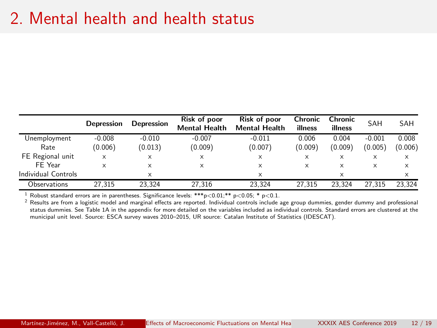### 2. Mental health and health status

|                     | Depression | <b>Depression</b> | Risk of poor<br><b>Mental Health</b> | Risk of poor<br><b>Mental Health</b> | Chronic<br>illness | Chronic<br>illness | SAH      | <b>SAH</b> |
|---------------------|------------|-------------------|--------------------------------------|--------------------------------------|--------------------|--------------------|----------|------------|
| Unemployment        | $-0.008$   | $-0.010$          | $-0.007$                             | $-0.011$                             | 0.006              | 0.004              | $-0.001$ | 0.008      |
| Rate                | (0.006)    | (0.013)           | (0.009)                              | (0.007)                              | (0.009)            | (0.009)            | (0.005)  | (0.006)    |
| FE Regional unit    | x          | ×                 | X                                    | X                                    | $\times$           | X                  | ×        | X          |
| FE Year             | x          | ×                 | x                                    | x                                    | $\times$           | ×                  | ×        | x          |
| Individual Controls |            | ×                 |                                      | x                                    |                    | X                  |          | X          |
| Observations        | 27.315     | 23.324            | 27.316                               | 23.324                               | 27.315             | 23.324             | 27.315   | 23.324     |

<sup>1</sup> Robust standard errors are in parentheses. Significance levels: \*\*\*p<0.01;\*\* p<0.05; \* p<0.1.

 $<sup>2</sup>$  Results are from a logistic model and marginal effects are reported. Individual controls include age group dummies, gender dummy and professional</sup> status dummies. See Table 1A in the appendix for more detailed on the variables included as individual controls. Standard errors are clustered at the municipal unit level. Source: ESCA survey waves 2010–2015, UR source: Catalan Institute of Statistics (IDESCAT).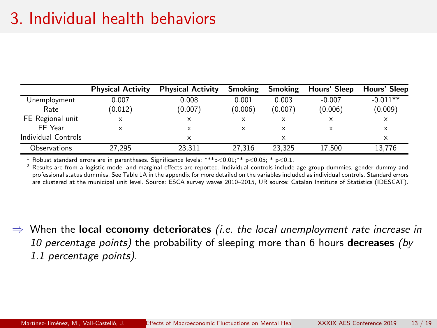### 3. Individual health behaviors

|                     | <b>Physical Activity</b> | <b>Physical Activity</b> | Smoking | Smoking | Hours' Sleep | Hours' Sleep |
|---------------------|--------------------------|--------------------------|---------|---------|--------------|--------------|
| Unemployment        | 0.007                    | 0.008                    | 0.001   | 0.003   | $-0.007$     | $-0.011**$   |
| Rate                | (0.012)                  | (0.007)                  | (0.006) | (0.007) | (0.006)      | (0.009)      |
| FE Regional unit    | x                        | x                        | x       | ×       | x            | X            |
| FE Year             |                          | x                        | x       | x       | x            | X            |
| Individual Controls |                          | x                        |         | x       |              | x            |
| Observations        | 27.295                   | 23.311                   | 27.316  | 23.325  | 17.500       | 13.776       |

<sup>1</sup> Robust standard errors are in parentheses. Significance levels: \*\*\*p<0.01;\*\* p<0.05; \* p<0.1.

 $2$  Results are from a logistic model and marginal effects are reported. Individual controls include age group dummies, gender dummy and professional status dummies. See Table 1A in the appendix for more detailed on the variables included as individual controls. Standard errors are clustered at the municipal unit level. Source: ESCA survey waves 2010–2015, UR source: Catalan Institute of Statistics (IDESCAT).

 $\Rightarrow$  When the local economy deteriorates *(i.e. the local unemployment rate increase in* 10 percentage points) the probability of sleeping more than 6 hours decreases (by 1.1 percentage points).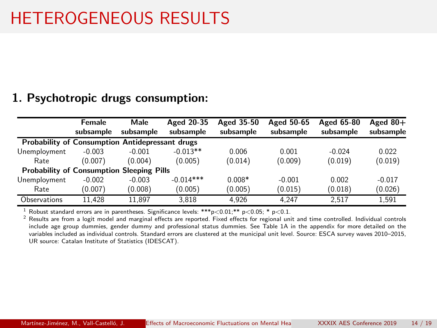# HETEROGENEOUS RESULTS

#### 1. Psychotropic drugs consumption:

|                                                        | Female    | Male      | Aged 20-35  | Aged 35-50 | Aged 50-65 | Aged 65-80 | Aged $80+$ |
|--------------------------------------------------------|-----------|-----------|-------------|------------|------------|------------|------------|
|                                                        | subsample | subsample | subsample   | subsample  | subsample  | subsample  | subsample  |
| <b>Probability of Consumption Antidepressant drugs</b> |           |           |             |            |            |            |            |
| Unemployment                                           | $-0.003$  | $-0.001$  | $-0.013**$  | 0.006      | 0.001      | $-0.024$   | 0.022      |
| Rate                                                   | (0.007)   | (0.004)   | (0.005)     | (0.014)    | (0.009)    | (0.019)    | (0.019)    |
| <b>Probability of Consumption Sleeping Pills</b>       |           |           |             |            |            |            |            |
| Unemployment                                           | $-0.002$  | $-0.003$  | $-0.014***$ | $0.008*$   | $-0.001$   | 0.002      | $-0.017$   |
| Rate                                                   | (0.007)   | (0.008)   | (0.005)     | (0.005)    | (0.015)    | (0.018)    | (0.026)    |
| Observations                                           | 11.428    | 11.897    | 3.818       | 4.926      | 4.247      | 2.517      | 1.591      |

<sup>1</sup> Robust standard errors are in parentheses. Significance levels: \*\*\*p<0.01;\*\* p<0.05; \* p<0.1.<br>
<sup>2</sup> Penulte are from a lagit model and magnipal effects are reported. Fixed effects for regional wri

<sup>2</sup> Results are from a logit model and marginal effects are reported. Fixed effects for regional unit and time controlled. Individual controls include age group dummies, gender dummy and professional status dummies. See Table 1A in the appendix for more detailed on the variables included as individual controls. Standard errors are clustered at the municipal unit level. Source: ESCA survey waves 2010–2015, UR source: Catalan Institute of Statistics (IDESCAT).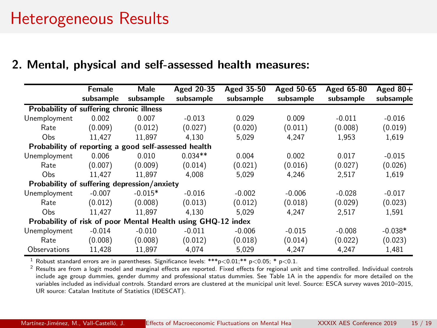#### 2. Mental, physical and self-assessed health measures:

|                                                      | Female                                                       | Male      | Aged 20-35 | Aged 35-50 | Aged 50-65 | Aged 65-80 | Aged $80+$ |  |  |  |
|------------------------------------------------------|--------------------------------------------------------------|-----------|------------|------------|------------|------------|------------|--|--|--|
|                                                      | subsample                                                    | subsample | subsample  | subsample  | subsample  | subsample  | subsample  |  |  |  |
| Probability of suffering chronic illness             |                                                              |           |            |            |            |            |            |  |  |  |
| Unemployment                                         | 0.002                                                        | 0.007     | $-0.013$   | 0.029      | 0.009      | $-0.011$   | $-0.016$   |  |  |  |
| Rate                                                 | (0.009)                                                      | (0.012)   | (0.027)    | (0.020)    | (0.011)    | (0.008)    | (0.019)    |  |  |  |
| O <sub>bs</sub>                                      | 11.427                                                       | 11.897    | 4.130      | 5.029      | 4.247      | 1.953      | 1.619      |  |  |  |
| Probability of reporting a good self-assessed health |                                                              |           |            |            |            |            |            |  |  |  |
| Unemployment                                         | 0.006                                                        | 0.010     | $0.034**$  | 0.004      | 0.002      | 0.017      | $-0.015$   |  |  |  |
| Rate                                                 | (0.007)                                                      | (0.009)   | (0.014)    | (0.021)    | (0.016)    | (0.027)    | (0.026)    |  |  |  |
| O <sub>bs</sub>                                      | 11.427                                                       | 11.897    | 4.008      | 5.029      | 4.246      | 2.517      | 1.619      |  |  |  |
| Probability of suffering depression/anxiety          |                                                              |           |            |            |            |            |            |  |  |  |
| Unemployment                                         | $-0.007$                                                     | $-0.015*$ | $-0.016$   | $-0.002$   | $-0.006$   | $-0.028$   | $-0.017$   |  |  |  |
| Rate                                                 | (0.012)                                                      | (0.008)   | (0.013)    | (0.012)    | (0.018)    | (0.029)    | (0.023)    |  |  |  |
| O <sub>bs</sub>                                      | 11.427                                                       | 11.897    | 4.130      | 5.029      | 4.247      | 2.517      | 1.591      |  |  |  |
|                                                      | Probability of risk of poor Mental Health using GHQ-12 index |           |            |            |            |            |            |  |  |  |
| Unemployment                                         | $-0.014$                                                     | $-0.010$  | $-0.011$   | $-0.006$   | $-0.015$   | $-0.008$   | $-0.038*$  |  |  |  |
| Rate                                                 | (0.008)                                                      | (0.008)   | (0.012)    | (0.018)    | (0.014)    | (0.022)    | (0.023)    |  |  |  |
| Observations                                         | 11.428                                                       | 11.897    | 4.074      | 5.029      | 4.247      | 4.247      | 1.481      |  |  |  |

<sup>1</sup> Robust standard errors are in parentheses. Significance levels: \*\*\*p<0.01;\*\* p<0.05; \* p<0.1.<br><sup>2</sup> Results are from a logit model and marginal effects are reported. Fixed effects for regional un

<sup>2</sup> Results are from a logit model and marginal effects are reported. Fixed effects for regional unit and time controlled. Individual controls include age group dummies, gender dummy and professional status dummies. See Table 1A in the appendix for more detailed on the variables included as individual controls. Standard errors are clustered at the municipal unit level. Source: ESCA survey waves 2010–2015, UR source: Catalan Institute of Statistics (IDESCAT).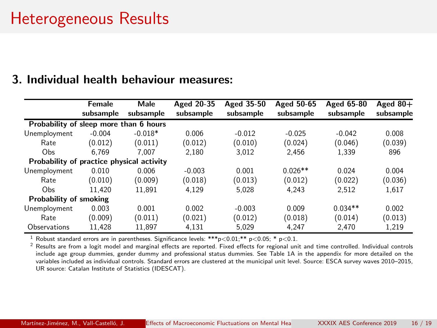#### 3. Individual health behaviour measures:

|                                           | Female    | Male      | Aged 20-35 | Aged 35-50 | Aged 50-65 | Aged 65-80 | Aged $80+$ |
|-------------------------------------------|-----------|-----------|------------|------------|------------|------------|------------|
|                                           | subsample | subsample | subsample  | subsample  | subsample  | subsample  | subsample  |
| Probability of sleep more than 6 hours    |           |           |            |            |            |            |            |
| Unemployment                              | $-0.004$  | $-0.018*$ | 0.006      | $-0.012$   | $-0.025$   | $-0.042$   | 0.008      |
| Rate                                      | (0.012)   | (0.011)   | (0.012)    | (0.010)    | (0.024)    | (0.046)    | (0.039)    |
| Obs                                       | 6.769     | 7.007     | 2.180      | 3.012      | 2.456      | 1.339      | 896        |
| Probability of practice physical activity |           |           |            |            |            |            |            |
| Unemployment                              | 0.010     | 0.006     | $-0.003$   | 0.001      | $0.026**$  | 0.024      | 0.004      |
| Rate                                      | (0.010)   | (0.009)   | (0.018)    | (0.013)    | (0.012)    | (0.022)    | (0.036)    |
| Obs                                       | 11.420    | 11.891    | 4.129      | 5.028      | 4.243      | 2.512      | 1.617      |
| Probability of smoking                    |           |           |            |            |            |            |            |
| Unemployment                              | 0.003     | 0.001     | 0.002      | $-0.003$   | 0.009      | $0.034**$  | 0.002      |
| Rate                                      | (0.009)   | (0.011)   | (0.021)    | (0.012)    | (0.018)    | (0.014)    | (0.013)    |
| Observations                              | 11.428    | 11.897    | 4.131      | 5.029      | 4.247      | 2.470      | 1.219      |

<sup>1</sup> Robust standard errors are in parentheses. Significance levels: \*\*\*p<0.01;\*\* p<0.05; \* p<0.1.

 $2$  Results are from a logit model and marginal effects are reported. Fixed effects for regional unit and time controlled. Individual controls include age group dummies, gender dummy and professional status dummies. See Table 1A in the appendix for more detailed on the variables included as individual controls. Standard errors are clustered at the municipal unit level. Source: ESCA survey waves 2010–2015, UR source: Catalan Institute of Statistics (IDESCAT).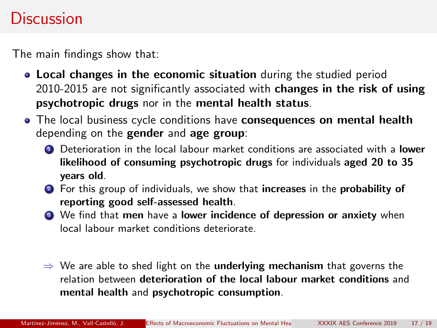### **Discussion**

The main findings show that:

- Local changes in the economic situation during the studied period 2010-2015 are not significantly associated with changes in the risk of using psychotropic drugs nor in the mental health status.
- The local business cycle conditions have **consequences on mental health** depending on the gender and age group:
	- **1** Deterioration in the local labour market conditions are associated with a **lower** likelihood of consuming psychotropic drugs for individuals aged 20 to 35 years old.
	- **2** For this group of individuals, we show that increases in the probability of reporting good self-assessed health.
	- <sup>3</sup> We find that men have a lower incidence of depression or anxiety when local labour market conditions deteriorate.
	- $\Rightarrow$  We are able to shed light on the **underlying mechanism** that governs the relation between deterioration of the local labour market conditions and mental health and psychotropic consumption.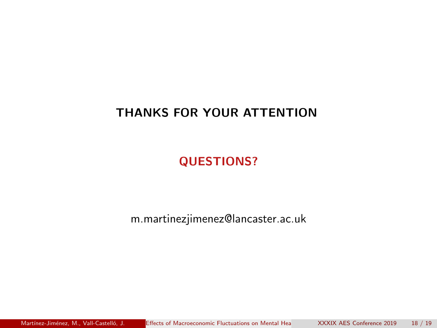#### THANKS FOR YOUR ATTENTION

QUESTIONS?

m.martinezjimenez@lancaster.ac.uk